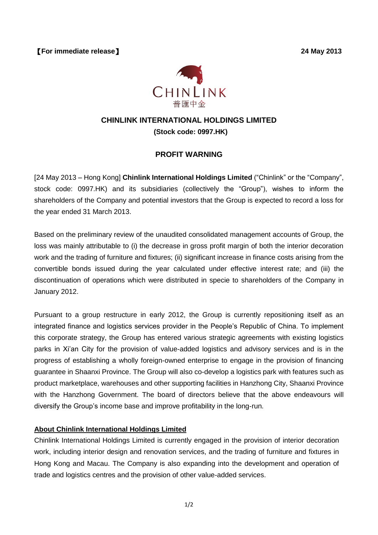【**For immediate release**】 **24 May 2013**



# **CHINLINK INTERNATIONAL HOLDINGS LIMITED (Stock code: 0997.HK)**

## **PROFIT WARNING**

[24 May 2013 – Hong Kong] **Chinlink International Holdings Limited** ("Chinlink" or the "Company", stock code: 0997.HK) and its subsidiaries (collectively the "Group"), wishes to inform the shareholders of the Company and potential investors that the Group is expected to record a loss for the year ended 31 March 2013.

Based on the preliminary review of the unaudited consolidated management accounts of Group, the loss was mainly attributable to (i) the decrease in gross profit margin of both the interior decoration work and the trading of furniture and fixtures; (ii) significant increase in finance costs arising from the convertible bonds issued during the year calculated under effective interest rate; and (iii) the discontinuation of operations which were distributed in specie to shareholders of the Company in January 2012.

Pursuant to a group restructure in early 2012, the Group is currently repositioning itself as an integrated finance and logistics services provider in the People's Republic of China. To implement this corporate strategy, the Group has entered various strategic agreements with existing logistics parks in Xi'an City for the provision of value-added logistics and advisory services and is in the progress of establishing a wholly foreign-owned enterprise to engage in the provision of financing guarantee in Shaanxi Province. The Group will also co-develop a logistics park with features such as product marketplace, warehouses and other supporting facilities in Hanzhong City, Shaanxi Province with the Hanzhong Government. The board of directors believe that the above endeavours will diversify the Group's income base and improve profitability in the long-run.

### **About Chinlink International Holdings Limited**

Chinlink International Holdings Limited is currently engaged in the provision of interior decoration work, including interior design and renovation services, and the trading of furniture and fixtures in Hong Kong and Macau. The Company is also expanding into the development and operation of trade and logistics centres and the provision of other value-added services.